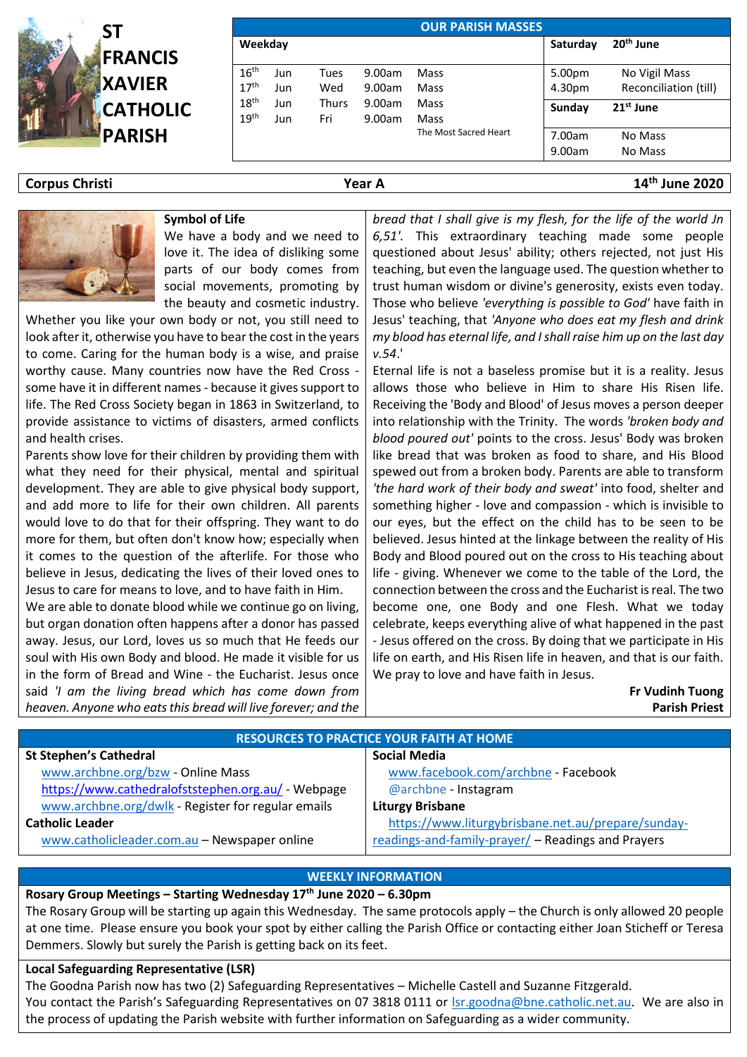

| <b>OUR PARISH MASSES</b>             |            |                     |                  |                       |                       |                                        |  |  |  |  |  |
|--------------------------------------|------------|---------------------|------------------|-----------------------|-----------------------|----------------------------------------|--|--|--|--|--|
| Weekday                              |            |                     |                  | Saturday              | 20 <sup>th</sup> June |                                        |  |  |  |  |  |
| 16 <sup>th</sup><br>17 <sup>th</sup> | Jun<br>Jun | <b>Tues</b><br>Wed  | 9.00am<br>9.00am | Mass<br>Mass          | 5.00pm<br>4.30pm      | No Vigil Mass<br>Reconciliation (till) |  |  |  |  |  |
| 18 <sup>th</sup><br>19 <sup>th</sup> | Jun<br>Jun | <b>Thurs</b><br>Fri | 9.00am<br>9.00am | Mass<br>Mass          | Sunday                | $21st$ June                            |  |  |  |  |  |
|                                      |            |                     |                  | The Most Sacred Heart | 7.00am<br>9.00am      | No Mass<br>No Mass                     |  |  |  |  |  |

**Corpus Christi Year A 14th June 2020**

#### **Symbol of Life**

We have a body and we need to love it. The idea of disliking some parts of our body comes from social movements, promoting by the beauty and cosmetic industry.

Whether you like your own body or not, you still need to look after it, otherwise you have to bear the cost in the years to come. Caring for the human body is a wise, and praise worthy cause. Many countries now have the Red Cross some have it in different names - because it gives support to life. The Red Cross Society began in 1863 in Switzerland, to provide assistance to victims of disasters, armed conflicts and health crises.

Parents show love for their children by providing them with what they need for their physical, mental and spiritual development. They are able to give physical body support, and add more to life for their own children. All parents would love to do that for their offspring. They want to do more for them, but often don't know how; especially when it comes to the question of the afterlife. For those who believe in Jesus, dedicating the lives of their loved ones to Jesus to care for means to love, and to have faith in Him.

We are able to donate blood while we continue go on living, but organ donation often happens after a donor has passed away. Jesus, our Lord, loves us so much that He feeds our soul with His own Body and blood. He made it visible for us in the form of Bread and Wine - the Eucharist. Jesus once said *'I am the living bread which has come down from heaven. Anyone who eats this bread will live forever; and the* 

*bread that I shall give is my flesh, for the life of the world Jn 6,51'.* This extraordinary teaching made some people questioned about Jesus' ability; others rejected, not just His teaching, but even the language used. The question whether to trust human wisdom or divine's generosity, exists even today. Those who believe *'everything is possible to God'* have faith in Jesus' teaching, that *'Anyone who does eat my flesh and drink my blood has eternal life, and I shall raise him up on the last day v.54*.'

Eternal life is not a baseless promise but it is a reality. Jesus allows those who believe in Him to share His Risen life. Receiving the 'Body and Blood' of Jesus moves a person deeper into relationship with the Trinity. The words *'broken body and blood poured out'* points to the cross. Jesus' Body was broken like bread that was broken as food to share, and His Blood spewed out from a broken body. Parents are able to transform *'the hard work of their body and sweat'* into food, shelter and something higher - love and compassion - which is invisible to our eyes, but the effect on the child has to be seen to be believed. Jesus hinted at the linkage between the reality of His Body and Blood poured out on the cross to His teaching about life - giving. Whenever we come to the table of the Lord, the connection between the cross and the Eucharist is real. The two become one, one Body and one Flesh. What we today celebrate, keeps everything alive of what happened in the past - Jesus offered on the cross. By doing that we participate in His life on earth, and His Risen life in heaven, and that is our faith. We pray to love and have faith in Jesus.

> **Fr Vudinh Tuong Parish Priest**

| <b>RESOURCES TO PRACTICE YOUR FAITH AT HOME</b>    |                                                    |  |  |  |  |  |
|----------------------------------------------------|----------------------------------------------------|--|--|--|--|--|
| <b>St Stephen's Cathedral</b>                      | <b>Social Media</b>                                |  |  |  |  |  |
| www.archbne.org/bzw - Online Mass                  | www.facebook.com/archbne - Facebook                |  |  |  |  |  |
| https://www.cathedralofststephen.org.au/ - Webpage | @archbne - Instagram                               |  |  |  |  |  |
| www.archbne.org/dwlk - Register for regular emails | <b>Liturgy Brisbane</b>                            |  |  |  |  |  |
| <b>Catholic Leader</b>                             | https://www.liturgybrisbane.net.au/prepare/sunday- |  |  |  |  |  |
| www.catholicleader.com.au - Newspaper online       | readings-and-family-prayer/ - Readings and Prayers |  |  |  |  |  |

#### **WEEKLY INFORMATION**

## **Rosary Group Meetings – Starting Wednesday 17th June 2020 – 6.30pm**

The Rosary Group will be starting up again this Wednesday. The same protocols apply – the Church is only allowed 20 people at one time. Please ensure you book your spot by either calling the Parish Office or contacting either Joan Sticheff or Teresa Demmers. Slowly but surely the Parish is getting back on its feet.

#### **Local Safeguarding Representative (LSR)**

The Goodna Parish now has two (2) Safeguarding Representatives – Michelle Castell and Suzanne Fitzgerald. You contact the Parish's Safeguarding Representatives on 07 3818 0111 or [lsr.goodna@bne.catholic.net.au.](mailto:lsr.goodna@bne.catholic.net.au) We are also in the process of updating the Parish website with further information on Safeguarding as a wider community.